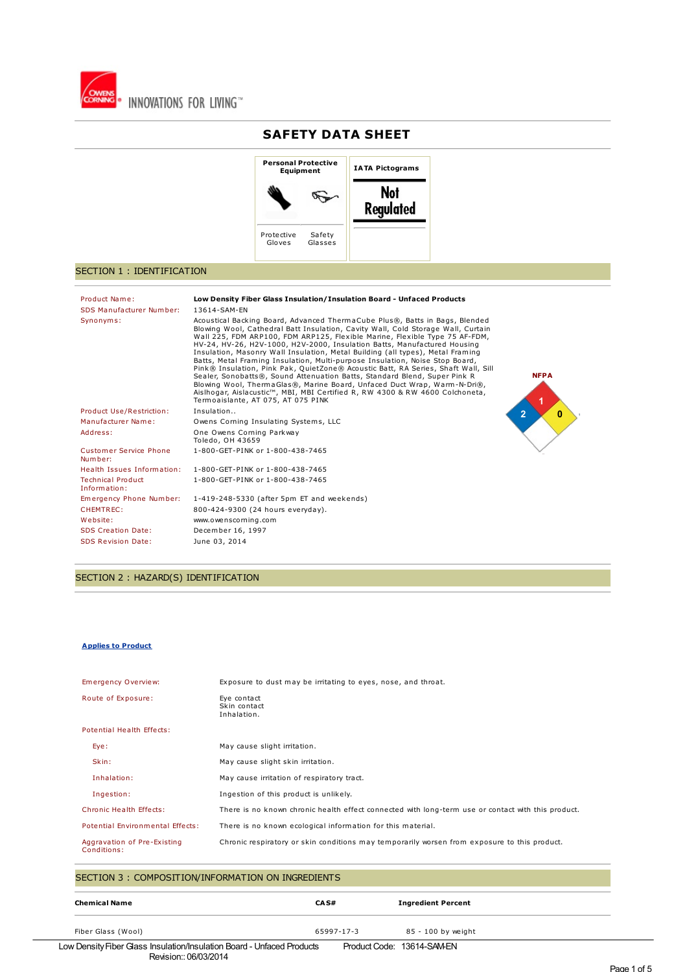

# **SAFETY DATA SHEET**



# SECTION 1 : IDENTIFICATION

| Product Name:<br>SDS Manufacturer Number: | Low Density Fiber Glass Insulation/Insulation Board - Unfaced Products<br>13614-SAM-EN                                                                                                                                                                                                                                                                                                                                                                                                                                                                                                                                                                                                                                                                                                                                                                                          |  |
|-------------------------------------------|---------------------------------------------------------------------------------------------------------------------------------------------------------------------------------------------------------------------------------------------------------------------------------------------------------------------------------------------------------------------------------------------------------------------------------------------------------------------------------------------------------------------------------------------------------------------------------------------------------------------------------------------------------------------------------------------------------------------------------------------------------------------------------------------------------------------------------------------------------------------------------|--|
| Synonyms:                                 | Acoustical Backing Board, Advanced ThermaCube Plus®, Batts in Bags, Blended<br>Blowing Wool, Cathedral Batt Insulation, Cavity Wall, Cold Storage Wall, Curtain<br>Wall 225, FDM ARP100, FDM ARP125, Flexible Marine, Flexible Type 75 AF-FDM,<br>HV-24, HV-26, H2V-1000, H2V-2000, Insulation Batts, Manufactured Housing<br>Insulation, Masonry Wall Insulation, Metal Building (all types), Metal Framing<br>Batts, Metal Framing Insulation, Multi-purpose Insulation, Noise Stop Board,<br>Pink® Insulation, Pink Pak, QuietZone® Acoustic Batt, RA Series, Shaft Wall, Sill<br><b>NFPA</b><br>Sealer, Sonobatts®, Sound Attenuation Batts, Standard Blend, Super Pink R<br>Blowing Wool, ThermaGlas®, Marine Board, Unfaced Duct Wrap, Warm-N-Dri®,<br>Aislhogar, Aislacustic™, MBI, MBI Certified R, RW 4300 & RW 4600 Colchoneta,<br>Termoaislante, AT 075, AT 075 PINK |  |
| Product Use/Restriction:                  | Insulation<br>0<br>2                                                                                                                                                                                                                                                                                                                                                                                                                                                                                                                                                                                                                                                                                                                                                                                                                                                            |  |
| Manufacturer Name:                        | Owens Corning Insulating Systems, LLC                                                                                                                                                                                                                                                                                                                                                                                                                                                                                                                                                                                                                                                                                                                                                                                                                                           |  |
| Address:                                  | One Owens Corning Parkway<br>Toledo, OH 43659                                                                                                                                                                                                                                                                                                                                                                                                                                                                                                                                                                                                                                                                                                                                                                                                                                   |  |
| Customer Service Phone<br>Number:         | 1-800-GET-PINK or 1-800-438-7465                                                                                                                                                                                                                                                                                                                                                                                                                                                                                                                                                                                                                                                                                                                                                                                                                                                |  |
| Health Issues Information:                | 1-800-GET-PINK or 1-800-438-7465                                                                                                                                                                                                                                                                                                                                                                                                                                                                                                                                                                                                                                                                                                                                                                                                                                                |  |
| <b>Technical Product</b><br>Information:  | 1-800-GET-PINK or 1-800-438-7465                                                                                                                                                                                                                                                                                                                                                                                                                                                                                                                                                                                                                                                                                                                                                                                                                                                |  |
| Emergency Phone Number:                   | 1-419-248-5330 (after 5pm ET and weekends)                                                                                                                                                                                                                                                                                                                                                                                                                                                                                                                                                                                                                                                                                                                                                                                                                                      |  |
| CHEMTREC:                                 | 800-424-9300 (24 hours everyday).                                                                                                                                                                                                                                                                                                                                                                                                                                                                                                                                                                                                                                                                                                                                                                                                                                               |  |
| Website:                                  | www.owenscorning.com                                                                                                                                                                                                                                                                                                                                                                                                                                                                                                                                                                                                                                                                                                                                                                                                                                                            |  |
| <b>SDS Creation Date:</b>                 | December 16, 1997                                                                                                                                                                                                                                                                                                                                                                                                                                                                                                                                                                                                                                                                                                                                                                                                                                                               |  |
| <b>SDS Revision Date:</b>                 | June 03, 2014                                                                                                                                                                                                                                                                                                                                                                                                                                                                                                                                                                                                                                                                                                                                                                                                                                                                   |  |

SECTION 2 : HAZARD(S) IDENTIFICATION

#### **Applies to Product**

| <b>Emergency Overview:</b>                 | Exposure to dust may be irritating to eyes, nose, and throat.                                      |
|--------------------------------------------|----------------------------------------------------------------------------------------------------|
| Route of Exposure:                         | Eye contact<br>Skin contact<br>Inhalation.                                                         |
| Potential Health Effects:                  |                                                                                                    |
| Eye:                                       | May cause slight irritation.                                                                       |
| Skin:                                      | May cause slight skin irritation.                                                                  |
| Inhalation:                                | May cause irritation of respiratory tract.                                                         |
| Ingestion:                                 | Ingestion of this product is unlikely.                                                             |
| Chronic Health Effects:                    | There is no known chronic health effect connected with long-term use or contact with this product. |
| Potential Environmental Effects:           | There is no known ecological information for this material.                                        |
| Aggravation of Pre-Existing<br>Conditions: | Chronic respiratory or skin conditions may temporarily worsen from exposure to this product.       |
|                                            |                                                                                                    |

# SECTION 3 : COMPOSITION/INFORMATION ON INGREDIENTS

| <b>Chemical Name</b> | CA S#      | <b>Ingredient Percent</b> |  |
|----------------------|------------|---------------------------|--|
| Fiber Glass (Wool)   | 65997-17-3 | 85 - 100 by weight        |  |

Low DensityFiber Glass Insulation/Insulation Board - Unfaced Products Revision:: 06/03/2014 Product Code: 13614-SAM-EN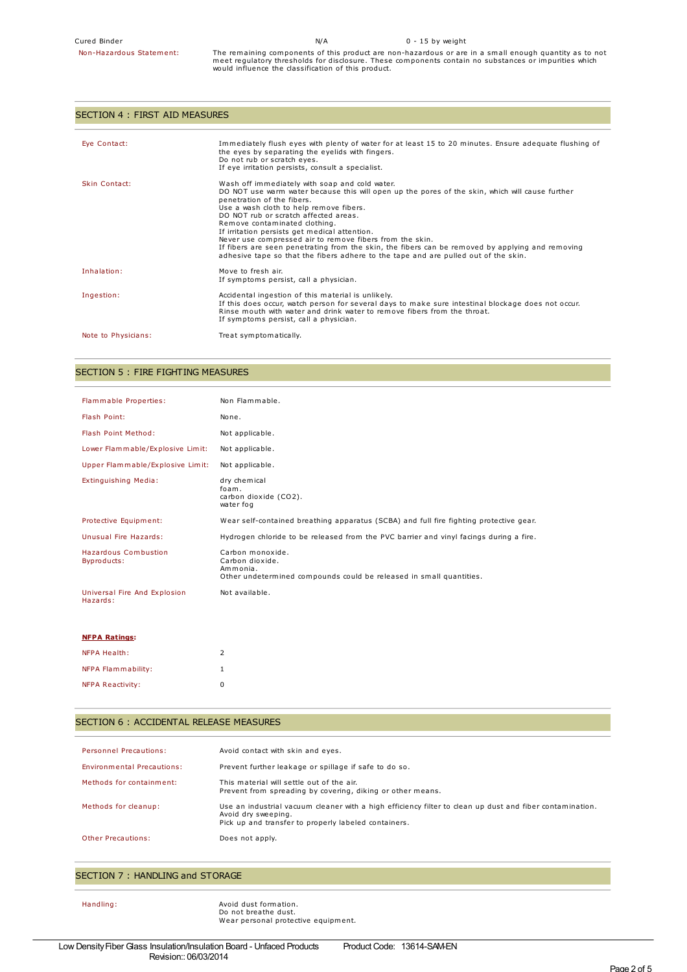Non-Hazardous Statement: The remaining components of this product are non-hazardous or are in <sup>a</sup> small enough quantity as to not meet regulatory thresholds for disclosure. These components contain no substances or impurities which would influence the classification of this product.

# SECTION 4 : FIRST AID MEASURES

| Eye Contact:        | Immediately flush eyes with plenty of water for at least 15 to 20 minutes. Ensure adequate flushing of<br>the eyes by separating the eyelids with fingers.<br>Do not rub or scratch eyes.<br>If eye irritation persists, consult a specialist.                                                                                                                                                                                                                                                                                                                                                               |
|---------------------|--------------------------------------------------------------------------------------------------------------------------------------------------------------------------------------------------------------------------------------------------------------------------------------------------------------------------------------------------------------------------------------------------------------------------------------------------------------------------------------------------------------------------------------------------------------------------------------------------------------|
| Skin Contact:       | Wash off immediately with soap and cold water.<br>DO NOT use warm water because this will open up the pores of the skin, which will cause further<br>penetration of the fibers.<br>Use a wash cloth to help remove fibers.<br>DO NOT rub or scratch affected areas.<br>Remove contaminated clothing.<br>If irritation persists get medical attention.<br>Never use compressed air to remove fibers from the skin.<br>If fibers are seen penetrating from the skin, the fibers can be removed by applying and removing<br>adhesive tape so that the fibers adhere to the tape and are pulled out of the skin. |
| Inhalation:         | Move to fresh air.<br>If symptoms persist, call a physician.                                                                                                                                                                                                                                                                                                                                                                                                                                                                                                                                                 |
| Ingestion:          | Accidental ingestion of this material is unlikely.<br>If this does occur, watch person for several days to make sure intestinal blockage does not occur.<br>Rinse mouth with water and drink water to remove fibers from the throat.<br>If symptoms persist, call a physician.                                                                                                                                                                                                                                                                                                                               |
| Note to Physicians: | Treat symptomatically.                                                                                                                                                                                                                                                                                                                                                                                                                                                                                                                                                                                       |

# SECTION 5 : FIRE FIGHTING MEASURES

| Flammable Properties:                    | Non Flammable.                                                                                                         |
|------------------------------------------|------------------------------------------------------------------------------------------------------------------------|
| Flash Point:                             | None.                                                                                                                  |
| Flash Point Method:                      | Not applicable.                                                                                                        |
| Lower Flammable/Explosive Limit:         | Not applicable.                                                                                                        |
| Upper Flammable/Explosive Limit:         | Not applicable.                                                                                                        |
| Extinguishing Media:                     | dry chemical<br>foam.<br>carbon dioxide (CO2).<br>water fog                                                            |
| Protective Equipment:                    | Wear self-contained breathing apparatus (SCBA) and full fire fighting protective gear.                                 |
| Unusual Fire Hazards:                    | Hydrogen chloride to be released from the PVC barrier and vinyl facings during a fire.                                 |
| Hazardous Combustion<br>Byproducts:      | Carbon monoxide.<br>Carbon dioxide.<br>Ammonia.<br>Other undetermined compounds could be released in small quantities. |
| Universal Fire And Explosion<br>Hazards: | Not available.                                                                                                         |
| <b>NFPA Ratings:</b>                     |                                                                                                                        |

| NFPA Health:            | $\mathcal{P}$ |
|-------------------------|---------------|
| NFPA Flammability:      |               |
| <b>NFPA Reactivity:</b> | n             |

# SECTION 6 : ACCIDENTAL RELEASE MEASURES

| <b>Personnel Precautions:</b>     | Avoid contact with skin and eyes.                                                                                                                                                       |
|-----------------------------------|-----------------------------------------------------------------------------------------------------------------------------------------------------------------------------------------|
| <b>Environmental Precautions:</b> | Prevent further leakage or spillage if safe to do so.                                                                                                                                   |
| Methods for containment:          | This material will settle out of the air.<br>Prevent from spreading by covering, diking or other means.                                                                                 |
| Methods for cleanup:              | Use an industrial vacuum cleaner with a high efficiency filter to clean up dust and fiber contamination.<br>Avoid dry sweeping.<br>Pick up and transfer to properly labeled containers. |
| Other Precautions:                | Does not apply.                                                                                                                                                                         |

#### SECTION 7 : HANDLING and STORAGE

Handling: **Avoid dust formation**. Do not breathe dust. Wear personal protective equipment.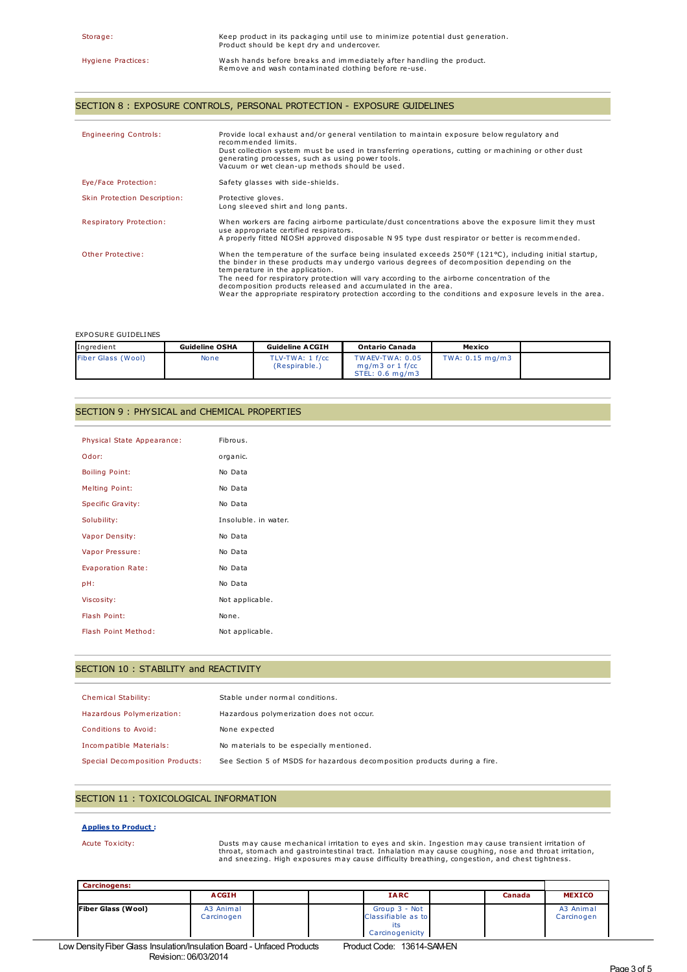# SECTION 8 : EXPOSURE CONTROLS, PERSONAL PROTECTION - EXPOSURE GUIDELINES

| <b>Engineering Controls:</b> | Provide local exhaust and/or general ventilation to maintain exposure below regulatory and<br>recommended limits.<br>Dust collection system must be used in transferring operations, cutting or machining or other dust<br>generating processes, such as using power tools.<br>Vacuum or wet clean-up methods should be used.                                                                                                                                                                                                          |
|------------------------------|----------------------------------------------------------------------------------------------------------------------------------------------------------------------------------------------------------------------------------------------------------------------------------------------------------------------------------------------------------------------------------------------------------------------------------------------------------------------------------------------------------------------------------------|
| Eye/Face Protection:         | Safety glasses with side-shields.                                                                                                                                                                                                                                                                                                                                                                                                                                                                                                      |
| Skin Protection Description: | Protective gloves.<br>Long sleeved shirt and long pants.                                                                                                                                                                                                                                                                                                                                                                                                                                                                               |
| Respiratory Protection:      | When workers are facing airborne particulate/dust concentrations above the exposure limit they must<br>use appropriate certified respirators.<br>A properly fitted NIOSH approved disposable N 95 type dust respirator or better is recommended.                                                                                                                                                                                                                                                                                       |
| Other Protective:            | When the temperature of the surface being insulated exceeds 250 $\degree$ F (121 $\degree$ C), including initial startup,<br>the binder in these products may undergo various degrees of decomposition depending on the<br>temperature in the application.<br>The need for respiratory protection will vary according to the airborne concentration of the<br>decomposition products released and accumulated in the area.<br>Wear the appropriate respiratory protection according to the conditions and exposure levels in the area. |

#### EXPOSURE GUIDELINES

| Ingredient         | <b>Guideline OSHA</b> | <b>Guideline ACGIH</b>           | <b>Ontario Canada</b>                                   | Mexico          |  |
|--------------------|-----------------------|----------------------------------|---------------------------------------------------------|-----------------|--|
| Fiber Glass (Wool) | None                  | TLV-TWA: 1 f/cc<br>(Respirable.) | TWAEV-TWA: 0.05<br>$ma/m3$ or 1 f/cc<br>STEL: 0.6 ma/m3 | TWA: 0.15 mg/m3 |  |

#### SECTION 9 : PHYSICAL and CHEMICAL PROPERTIES

| Physical State Appearance: | Fibrous.             |
|----------------------------|----------------------|
| Odor:                      | organic.             |
| <b>Boiling Point:</b>      | No Data              |
| <b>Melting Point:</b>      | No Data              |
| <b>Specific Gravity:</b>   | No Data              |
| Solubility:                | Insoluble, in water. |
| Vapor Density:             | No Data              |
| Vapor Pressure:            | No Data              |
| Evaporation Rate:          | No Data              |
| pH:                        | No Data              |
| Viscosity:                 | Not applicable.      |
| Flash Point:               | None.                |
| Flash Point Method:        | Not applicable.      |

#### SECTION 10 : STABILITY and REACTIVITY

| Chemical Stability:             | Stable under normal conditions.                                           |
|---------------------------------|---------------------------------------------------------------------------|
| Hazardous Polymerization:       | Hazardous polymerization does not occur.                                  |
| Conditions to Avoid:            | None expected                                                             |
| Incompatible Materials:         | No materials to be especially mentioned.                                  |
| Special Decomposition Products: | See Section 5 of MSDS for hazardous decomposition products during a fire. |

### SECTION 11 : TOXICOLOGICAL INFORMATION

#### **Applies to Product :**

Acute Toxicity: Dusts may cause mechanical irritation to eyes and skin. Ingestion may cause transient irritation of throat, stomach and gastrointestinal tract. Inhalation may cause coughing, nose and throat irritation, and sneezing. High exposures may cause difficulty breathing, congestion, and chest tightness.

| <b>Carcinogens:</b>       |                         |                                     |        |                         |
|---------------------------|-------------------------|-------------------------------------|--------|-------------------------|
|                           | <b>ACGIH</b>            | <b>IARC</b>                         | Canada | <b>MEXICO</b>           |
| <b>Fiber Glass (Wool)</b> | A3 Animal<br>Carcinogen | Group 3 - Not<br>Classifiable as to |        | A3 Animal<br>Carcinogen |
|                           |                         | Carcinogenicity                     |        |                         |

Low Density Fiber Glass Insulation/Insulation Board - Unfaced Products Revision:: 06/03/2014 Product Code: 13614-SAM-EN